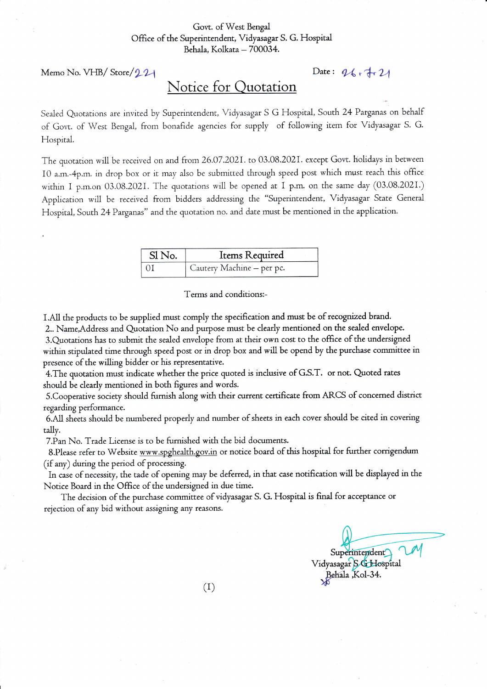## Govt. of West Bengal Office of the Superintendent, Vidyasagar S. G. Hospital Behala, Kolkata - 700034.

Memo No. VHB/ Store/221 Date:  $96.7 + 24$ 

## Notice for Quotation

Sealed Quotations are invited by Superintendent, Vidyasagar S G Hospital, South 24 Parganas on behalf of Govr, of Wesr Bengai, from bonafide agencies for supply of following irem for Vidyasagar S. G. Hospital.

The quotation will be received on and from 26.07.2021. to 03.08.2021. except Govt. holidays in between 10 a.m.-4p.m. in drop box or it mav also be submitted through speed post which must reach rhis office within I p.m.on 03.08.2021. The quotations will be opened at I p.m. on the same day (03.08.2021.) Application will be received from bidders addressing the "Superintendent, Vidyasagar State General Hospital, South 24 Parganas" and the quotation no. and date must be mentioned in the application.

| Sl No. | Items Required            |
|--------|---------------------------|
|        | Cautery Machine - per pc. |

Terms and conditions:-

I.AI1 rhe products to be supplied must comply the specification and must be of recognized brand.

2.. Name,Address and Quotation No and purpose must be clearly mentioned on the sealed envelope. 3.Quotacions has to submit the sealed envelope from at rheir own cost to the office of the undersigned within stipulated time through speed post or in drop box and will be opend by the purchase committee in presence of the willing bidder or his representative.

4. The quotation must indicate whether the price quoted is inclusive of G.S.T. or not. Quoted rates should be clearly mentioned in both figures and words.

5. Cooperative society should furnish along with their current certificate from ARCS of concerned district regarding performance.

6.A11sheets should be numbered properly and number of sheets in each cover should be cited in covering tally.

7.Pan No. Trade License is to be fumished with rhe bid documents.

8.Please refer to Website www.spghealth.gov.in or notice board of this hospital for further corrigendum (if any) during the period of processing.

In case of necessity, the tade of opening may be deferred, in that case notification will be displayed in the Notice Board in the Office of the undersigned in due time.

The decision of the purchase committee of vidyasagar S. G. Hospital is final for acceptance or rejection of any bid without assigning any reasons.

Superintendent Vidyasagar S & Hospital Behala Kol-34.

 $(1)$